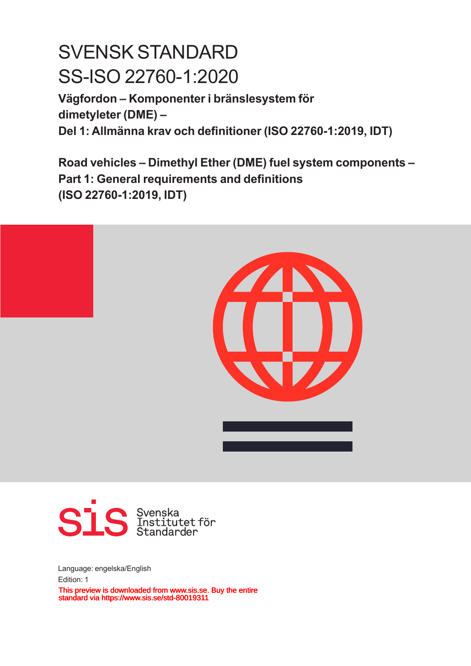# SVENSK STANDARD SS-ISO 22760-1:2020

**Vägfordon – Komponenter i bränslesystem för dimetyleter (DME) – Del 1: Allmänna krav och definitioner (ISO 22760‑1:2019, IDT)**

**Road vehicles – Dimethyl Ether (DME) fuel system components – Part 1: General requirements and definitions (ISO 22760‑1:2019, IDT)**





Language: engelska/English Edition: 1 This preview is downloaded from www.sis.se. Buy the entire standard via https://www.sis.se/std-80019311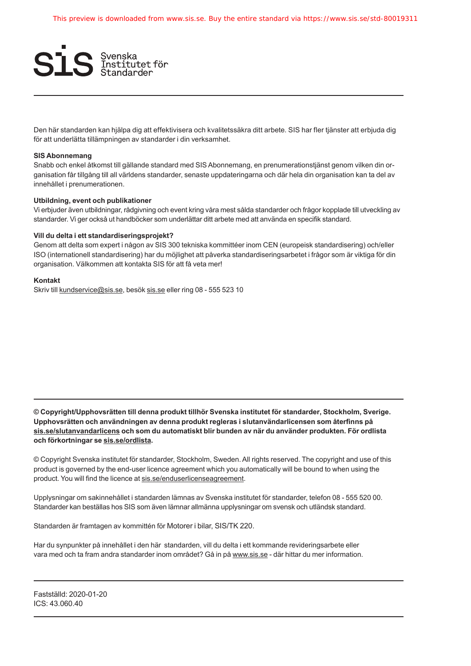

Den här standarden kan hjälpa dig att effektivisera och kvalitetssäkra ditt arbete. SIS har fler tjänster att erbjuda dig för att underlätta tillämpningen av standarder i din verksamhet.

#### **SIS Abonnemang**

Snabb och enkel åtkomst till gällande standard med SIS Abonnemang, en prenumerationstjänst genom vilken din organisation får tillgång till all världens standarder, senaste uppdateringarna och där hela din organisation kan ta del av innehållet i prenumerationen.

#### **Utbildning, event och publikationer**

Vi erbjuder även utbildningar, rådgivning och event kring våra mest sålda standarder och frågor kopplade till utveckling av standarder. Vi ger också ut handböcker som underlättar ditt arbete med att använda en specifik standard.

#### **Vill du delta i ett standardiseringsprojekt?**

Genom att delta som expert i någon av SIS 300 tekniska kommittéer inom CEN (europeisk standardisering) och/eller ISO (internationell standardisering) har du möjlighet att påverka standardiseringsarbetet i frågor som är viktiga för din organisation. Välkommen att kontakta SIS för att få veta mer!

#### **Kontakt**

Skriv till [kundservice@sis.se](mailto:kundservice%40sis.se?subject=kontakt), besök [sis.se](https://www.sis.se) eller ring 08 - 555 523 10

**© Copyright/Upphovsrätten till denna produkt tillhör Svenska institutet för standarder, Stockholm, Sverige. Upphovsrätten och användningen av denna produkt regleras i slutanvändarlicensen som återfinns på [sis.se/slutanvandarlicens](https://www.sis.se/slutanvandarlicens) och som du automatiskt blir bunden av när du använder produkten. För ordlista och förkortningar se [sis.se/ordlista](https://www.sis.se/ordlista).**

© Copyright Svenska institutet för standarder, Stockholm, Sweden. All rights reserved. The copyright and use of this product is governed by the end-user licence agreement which you automatically will be bound to when using the product. You will find the licence at [sis.se/enduserlicenseagreement](https://www.sis.se/enduserlicenseagreement).

Upplysningar om sakinnehållet i standarden lämnas av Svenska institutet för standarder, telefon 08 - 555 520 00. Standarder kan beställas hos SIS som även lämnar allmänna upplysningar om svensk och utländsk standard.

Standarden är framtagen av kommittén för Motorer i bilar, SIS/TK 220.

Har du synpunkter på innehållet i den här standarden, vill du delta i ett kommande revideringsarbete eller vara med och ta fram andra standarder inom området? Gå in på [www.sis.se](https://www.sis.se) - där hittar du mer information.

Fastställd: 2020-01-20 ICS: 43.060.40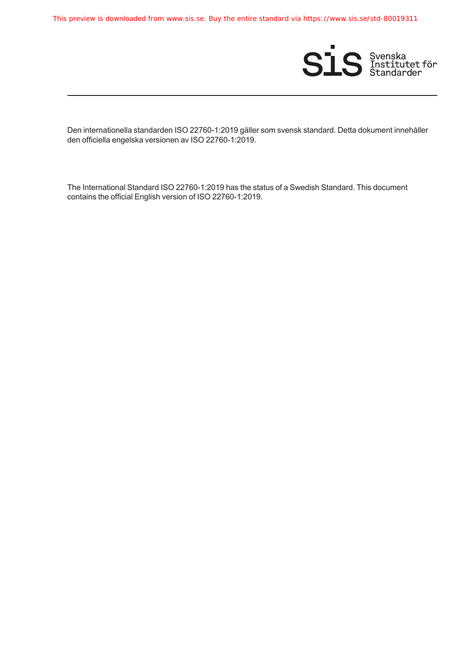This preview is downloaded from www.sis.se. Buy the entire standard via https://www.sis.se/std-80019311



Den internationella standarden ISO 22760-1:2019 gäller som svensk standard. Detta dokument innehåller den officiella engelska versionen av ISO 22760-1:2019.

The International Standard ISO 22760-1:2019 has the status of a Swedish Standard. This document contains the official English version of ISO 22760-1:2019.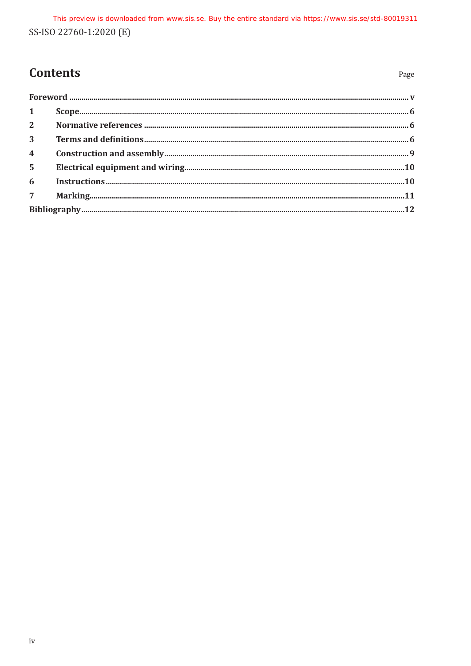This preview is downloaded from www.sis.se. Buy the entire standard via https://www.sis.se/std-80019311 SS-ISO 22760-1:2020 (E)

## **Contents**

| $\mathbf{1}$    |  |  |  |
|-----------------|--|--|--|
| $\overline{2}$  |  |  |  |
| $\overline{3}$  |  |  |  |
| $\overline{4}$  |  |  |  |
| $5\overline{5}$ |  |  |  |
| $6 \quad$       |  |  |  |
| $\overline{7}$  |  |  |  |
|                 |  |  |  |
|                 |  |  |  |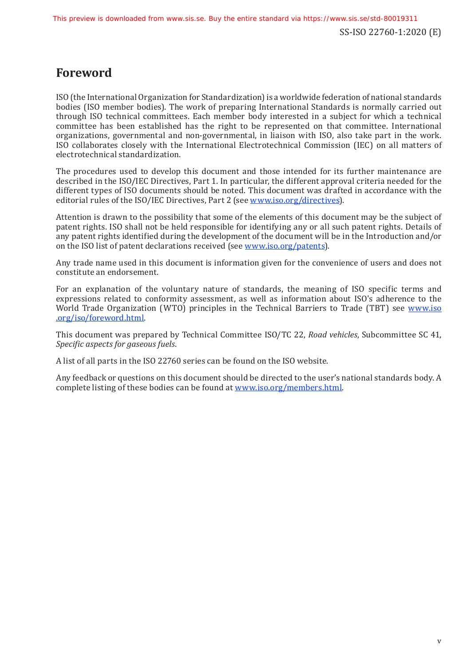## <span id="page-4-0"></span>**Foreword**

ISO (the International Organization for Standardization) is a worldwide federation of national standards bodies (ISO member bodies). The work of preparing International Standards is normally carried out through ISO technical committees. Each member body interested in a subject for which a technical committee has been established has the right to be represented on that committee. International organizations, governmental and non-governmental, in liaison with ISO, also take part in the work. ISO collaborates closely with the International Electrotechnical Commission (IEC) on all matters of electrotechnical standardization.

The procedures used to develop this document and those intended for its further maintenance are described in the ISO/IEC Directives, Part 1. In particular, the different approval criteria needed for the different types of ISO documents should be noted. This document was drafted in accordance with the editorial rules of the ISO/IEC Directives, Part 2 (see [www.iso.org/directives\)](https://www.iso.org/directives-and-policies.html).

Attention is drawn to the possibility that some of the elements of this document may be the subject of patent rights. ISO shall not be held responsible for identifying any or all such patent rights. Details of any patent rights identified during the development of the document will be in the Introduction and/or on the ISO list of patent declarations received (see [www.iso.org/patents](https://www.iso.org/iso-standards-and-patents.html)).

Any trade name used in this document is information given for the convenience of users and does not constitute an endorsement.

For an explanation of the voluntary nature of standards, the meaning of ISO specific terms and expressions related to conformity assessment, as well as information about ISO's adherence to the World Trade Organization (WTO) principles in the Technical Barriers to Trade (TBT) see [www.iso](https://www.iso.org/foreword-supplementary-information.html) [.org/iso/foreword.html](https://www.iso.org/foreword-supplementary-information.html).

This document was prepared by Technical Committee ISO/TC 22, *Road vehicles*, Subcommittee SC 41, *Specific aspects for gaseous fuels*.

A list of all parts in the ISO 22760 series can be found on the ISO website.

Any feedback or questions on this document should be directed to the user's national standards body. A complete listing of these bodies can be found at [www.iso.org/members.html.](http://www.iso.org/members.html)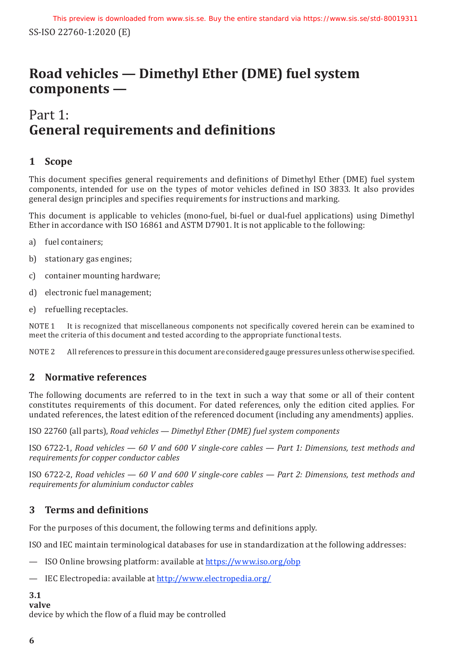## **Road vehicles — Dimethyl Ether (DME) fuel system components —**

## Part 1: **General requirements and definitions**

## <span id="page-5-0"></span>**1 Scope**

This document specifies general requirements and definitions of Dimethyl Ether (DME) fuel system components, intended for use on the types of motor vehicles defined in ISO 3833. It also provides general design principles and specifies requirements for instructions and marking.

This document is applicable to vehicles (mono-fuel, bi-fuel or dual-fuel applications) using Dimethyl Ether in accordance with ISO 16861 and ASTM D7901. It is not applicable to the following:

- a) fuel containers;
- b) stationary gas engines;
- c) container mounting hardware;
- d) electronic fuel management;
- e) refuelling receptacles.

NOTE 1 It is recognized that miscellaneous components not specifically covered herein can be examined to meet the criteria of this document and tested according to the appropriate functional tests.

NOTE 2 All references to pressure in this document are considered gauge pressures unless otherwise specified.

### <span id="page-5-1"></span>**2 Normative references**

The following documents are referred to in the text in such a way that some or all of their content constitutes requirements of this document. For dated references, only the edition cited applies. For undated references, the latest edition of the referenced document (including any amendments) applies.

ISO 22760 (all parts), *Road vehicles — Dimethyl Ether (DME) fuel system components*

ISO 6722-1, *Road vehicles — 60 V and 600 V single-core cables — Part 1: Dimensions, test methods and requirements for copper conductor cables*

ISO 6722-2, *Road vehicles — 60 V and 600 V single-core cables — Part 2: Dimensions, test methods and requirements for aluminium conductor cables*

### <span id="page-5-2"></span>**3 Terms and definitions**

For the purposes of this document, the following terms and definitions apply.

ISO and IEC maintain terminological databases for use in standardization at the following addresses:

- ISO Online browsing platform: available at [https://www.iso.org/obp](https://www.iso.org/obp/ui)
- IEC Electropedia: available at<http://www.electropedia.org/>

#### <span id="page-5-3"></span>**3.1**

**valve**

device by which the flow of a fluid may be controlled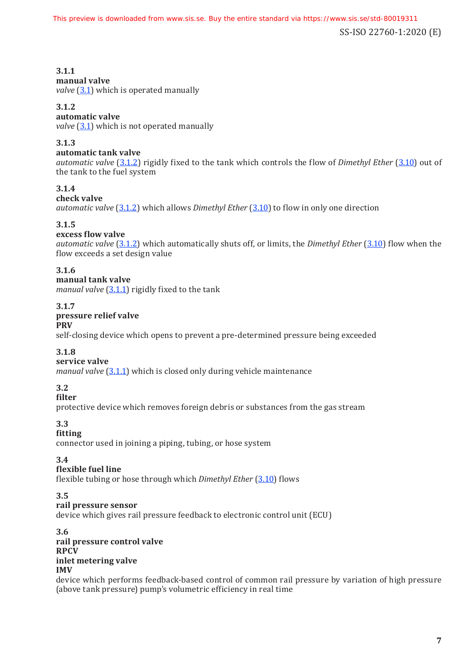SS-ISO 22760-1:2020 (E) This preview is downloaded from www.sis.se. Buy the entire standard via https://www.sis.se/std-80019311

#### <span id="page-6-1"></span>**3.1.1**

**manual valve**

*valve* ([3.1](#page-5-3)) which is operated manually

#### <span id="page-6-0"></span>**3.1.2**

**automatic valve** *valve* ([3.1](#page-5-3)) which is not operated manually

#### **3.1.3**

#### **automatic tank valve**

*automatic valve* ([3.1.2](#page-6-0)) rigidly fixed to the tank which controls the flow of *Dimethyl Ether* ([3.10](#page-7-0)) out of the tank to the fuel system

#### **3.1.4**

#### **check valve**

*automatic valve* ([3.1.2](#page-6-0)) which allows *Dimethyl Ether* ([3.10](#page-7-0)) to flow in only one direction

#### **3.1.5**

#### **excess flow valve**

*automatic valve* ([3.1.2](#page-6-0)) which automatically shuts off, or limits, the *Dimethyl Ether* ([3.10\)](#page-7-0) flow when the flow exceeds a set design value

#### **3.1.6**

#### **manual tank valve**

*manual valve* ([3.1.1\)](#page-6-1) rigidly fixed to the tank

#### **3.1.7**

## **pressure relief valve**

**PRV** self-closing device which opens to prevent a pre-determined pressure being exceeded

#### **3.1.8**

#### **service valve**

*manual valve* ([3.1.1](#page-6-1)) which is closed only during vehicle maintenance

#### **3.2**

**filter**

protective device which removes foreign debris or substances from the gas stream

#### **3.3**

#### **fitting**

connector used in joining a piping, tubing, or hose system

#### **3.4**

#### **flexible fuel line**

flexible tubing or hose through which *Dimethyl Ether* ([3.10](#page-7-0)) flows

#### **3.5**

#### **rail pressure sensor**

device which gives rail pressure feedback to electronic control unit (ECU)

#### **3.6 rail pressure control valve RPCV inlet metering valve**

### **IMV**

device which performs feedback-based control of common rail pressure by variation of high pressure (above tank pressure) pump's volumetric efficiency in real time